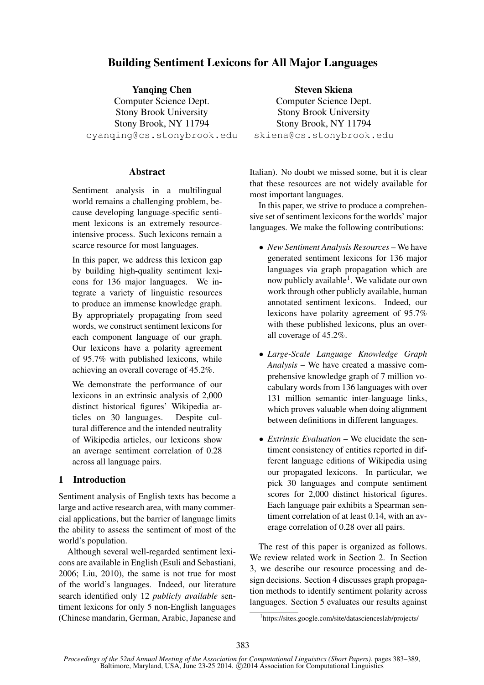# Building Sentiment Lexicons for All Major Languages

Yanqing Chen Computer Science Dept. Stony Brook University Stony Brook, NY 11794 cyanqing@cs.stonybrook.edu

### **Abstract**

Sentiment analysis in a multilingual world remains a challenging problem, because developing language-specific sentiment lexicons is an extremely resourceintensive process. Such lexicons remain a scarce resource for most languages.

In this paper, we address this lexicon gap by building high-quality sentiment lexicons for 136 major languages. We integrate a variety of linguistic resources to produce an immense knowledge graph. By appropriately propagating from seed words, we construct sentiment lexicons for each component language of our graph. Our lexicons have a polarity agreement of 95.7% with published lexicons, while achieving an overall coverage of 45.2%.

We demonstrate the performance of our lexicons in an extrinsic analysis of 2,000 distinct historical figures' Wikipedia articles on 30 languages. Despite cultural difference and the intended neutrality of Wikipedia articles, our lexicons show an average sentiment correlation of 0.28 across all language pairs.

### 1 Introduction

Sentiment analysis of English texts has become a large and active research area, with many commercial applications, but the barrier of language limits the ability to assess the sentiment of most of the world's population.

Although several well-regarded sentiment lexicons are available in English (Esuli and Sebastiani, 2006; Liu, 2010), the same is not true for most of the world's languages. Indeed, our literature search identified only 12 *publicly available* sentiment lexicons for only 5 non-English languages (Chinese mandarin, German, Arabic, Japanese and

Steven Skiena Computer Science Dept. Stony Brook University Stony Brook, NY 11794 skiena@cs.stonybrook.edu

Italian). No doubt we missed some, but it is clear that these resources are not widely available for most important languages.

In this paper, we strive to produce a comprehensive set of sentiment lexicons for the worlds' major languages. We make the following contributions:

- *New Sentiment Analysis Resources* We have generated sentiment lexicons for 136 major languages via graph propagation which are now publicly available<sup>1</sup>. We validate our own work through other publicly available, human annotated sentiment lexicons. Indeed, our lexicons have polarity agreement of 95.7% with these published lexicons, plus an overall coverage of 45.2%.
- *Large-Scale Language Knowledge Graph Analysis* – We have created a massive comprehensive knowledge graph of 7 million vocabulary words from 136 languages with over 131 million semantic inter-language links, which proves valuable when doing alignment between definitions in different languages.
- *Extrinsic Evaluation* We elucidate the sentiment consistency of entities reported in different language editions of Wikipedia using our propagated lexicons. In particular, we pick 30 languages and compute sentiment scores for 2,000 distinct historical figures. Each language pair exhibits a Spearman sentiment correlation of at least 0.14, with an average correlation of 0.28 over all pairs.

The rest of this paper is organized as follows. We review related work in Section 2. In Section 3, we describe our resource processing and design decisions. Section 4 discusses graph propagation methods to identify sentiment polarity across languages. Section 5 evaluates our results against

<sup>1</sup> https://sites.google.com/site/datascienceslab/projects/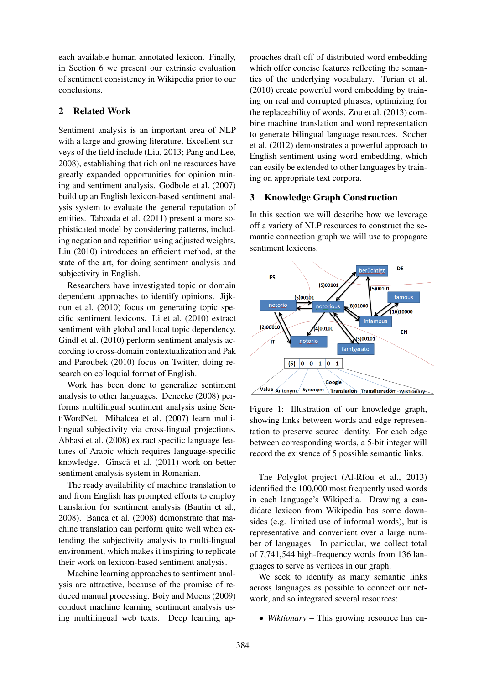each available human-annotated lexicon. Finally, in Section 6 we present our extrinsic evaluation of sentiment consistency in Wikipedia prior to our conclusions.

## 2 Related Work

Sentiment analysis is an important area of NLP with a large and growing literature. Excellent surveys of the field include (Liu, 2013; Pang and Lee, 2008), establishing that rich online resources have greatly expanded opportunities for opinion mining and sentiment analysis. Godbole et al. (2007) build up an English lexicon-based sentiment analysis system to evaluate the general reputation of entities. Taboada et al. (2011) present a more sophisticated model by considering patterns, including negation and repetition using adjusted weights. Liu (2010) introduces an efficient method, at the state of the art, for doing sentiment analysis and subjectivity in English.

Researchers have investigated topic or domain dependent approaches to identify opinions. Jijkoun et al. (2010) focus on generating topic specific sentiment lexicons. Li et al. (2010) extract sentiment with global and local topic dependency. Gindl et al. (2010) perform sentiment analysis according to cross-domain contextualization and Pak and Paroubek (2010) focus on Twitter, doing research on colloquial format of English.

Work has been done to generalize sentiment analysis to other languages. Denecke (2008) performs multilingual sentiment analysis using SentiWordNet. Mihalcea et al. (2007) learn multilingual subjectivity via cross-lingual projections. Abbasi et al. (2008) extract specific language features of Arabic which requires language-specific knowledge. Gînscă et al. (2011) work on better sentiment analysis system in Romanian.

The ready availability of machine translation to and from English has prompted efforts to employ translation for sentiment analysis (Bautin et al., 2008). Banea et al. (2008) demonstrate that machine translation can perform quite well when extending the subjectivity analysis to multi-lingual environment, which makes it inspiring to replicate their work on lexicon-based sentiment analysis.

Machine learning approaches to sentiment analysis are attractive, because of the promise of reduced manual processing. Boiy and Moens (2009) conduct machine learning sentiment analysis using multilingual web texts. Deep learning approaches draft off of distributed word embedding which offer concise features reflecting the semantics of the underlying vocabulary. Turian et al. (2010) create powerful word embedding by training on real and corrupted phrases, optimizing for the replaceability of words. Zou et al. (2013) combine machine translation and word representation to generate bilingual language resources. Socher et al. (2012) demonstrates a powerful approach to English sentiment using word embedding, which can easily be extended to other languages by training on appropriate text corpora.

### 3 Knowledge Graph Construction

In this section we will describe how we leverage off a variety of NLP resources to construct the semantic connection graph we will use to propagate sentiment lexicons.



Figure 1: Illustration of our knowledge graph, showing links between words and edge representation to preserve source identity. For each edge between corresponding words, a 5-bit integer will record the existence of 5 possible semantic links.

The Polyglot project (Al-Rfou et al., 2013) identified the 100,000 most frequently used words in each language's Wikipedia. Drawing a candidate lexicon from Wikipedia has some downsides (e.g. limited use of informal words), but is representative and convenient over a large number of languages. In particular, we collect total of 7,741,544 high-frequency words from 136 languages to serve as vertices in our graph.

We seek to identify as many semantic links across languages as possible to connect our network, and so integrated several resources:

• *Wiktionary* – This growing resource has en-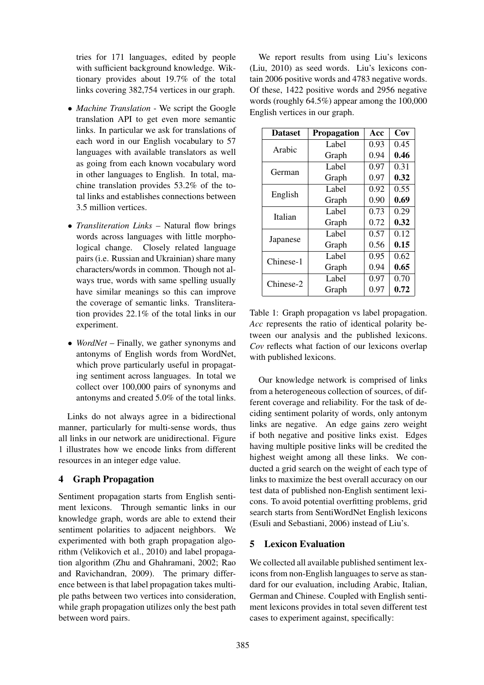tries for 171 languages, edited by people with sufficient background knowledge. Wiktionary provides about 19.7% of the total links covering 382,754 vertices in our graph.

- *Machine Translation* We script the Google translation API to get even more semantic links. In particular we ask for translations of each word in our English vocabulary to 57 languages with available translators as well as going from each known vocabulary word in other languages to English. In total, machine translation provides 53.2% of the total links and establishes connections between 3.5 million vertices.
- *Transliteration Links* Natural flow brings words across languages with little morphological change. Closely related language pairs (i.e. Russian and Ukrainian) share many characters/words in common. Though not always true, words with same spelling usually have similar meanings so this can improve the coverage of semantic links. Transliteration provides 22.1% of the total links in our experiment.
- *WordNet* Finally, we gather synonyms and antonyms of English words from WordNet, which prove particularly useful in propagating sentiment across languages. In total we collect over 100,000 pairs of synonyms and antonyms and created 5.0% of the total links.

Links do not always agree in a bidirectional manner, particularly for multi-sense words, thus all links in our network are unidirectional. Figure 1 illustrates how we encode links from different resources in an integer edge value.

## 4 Graph Propagation

Sentiment propagation starts from English sentiment lexicons. Through semantic links in our knowledge graph, words are able to extend their sentiment polarities to adjacent neighbors. We experimented with both graph propagation algorithm (Velikovich et al., 2010) and label propagation algorithm (Zhu and Ghahramani, 2002; Rao and Ravichandran, 2009). The primary difference between is that label propagation takes multiple paths between two vertices into consideration, while graph propagation utilizes only the best path between word pairs.

We report results from using Liu's lexicons (Liu, 2010) as seed words. Liu's lexicons contain 2006 positive words and 4783 negative words. Of these, 1422 positive words and 2956 negative words (roughly 64.5%) appear among the 100,000 English vertices in our graph.

| <b>Dataset</b> | <b>Propagation</b> | Acc  | Cov  |  |
|----------------|--------------------|------|------|--|
| Arabic         | Label              | 0.93 | 0.45 |  |
|                | Graph              | 0.94 | 0.46 |  |
| German         | Label              | 0.97 | 0.31 |  |
|                | Graph              | 0.97 | 0.32 |  |
| English        | Label              | 0.92 | 0.55 |  |
|                | Graph              | 0.90 | 0.69 |  |
| Italian        | Label              | 0.73 | 0.29 |  |
|                | Graph              | 0.72 | 0.32 |  |
|                | Label              | 0.57 | 0.12 |  |
| Japanese       | Graph              | 0.56 | 0.15 |  |
| Chinese-1      | Label              | 0.95 | 0.62 |  |
|                | Graph              | 0.94 | 0.65 |  |
| Chinese-2      | Label              | 0.97 | 0.70 |  |
|                | Graph              | 0.97 | 0.72 |  |

Table 1: Graph propagation vs label propagation. *Acc* represents the ratio of identical polarity between our analysis and the published lexicons. *Cov* reflects what faction of our lexicons overlap with published lexicons.

Our knowledge network is comprised of links from a heterogeneous collection of sources, of different coverage and reliability. For the task of deciding sentiment polarity of words, only antonym links are negative. An edge gains zero weight if both negative and positive links exist. Edges having multiple positive links will be credited the highest weight among all these links. We conducted a grid search on the weight of each type of links to maximize the best overall accuracy on our test data of published non-English sentiment lexicons. To avoid potential overfitting problems, grid search starts from SentiWordNet English lexicons (Esuli and Sebastiani, 2006) instead of Liu's.

## 5 Lexicon Evaluation

We collected all available published sentiment lexicons from non-English languages to serve as standard for our evaluation, including Arabic, Italian, German and Chinese. Coupled with English sentiment lexicons provides in total seven different test cases to experiment against, specifically: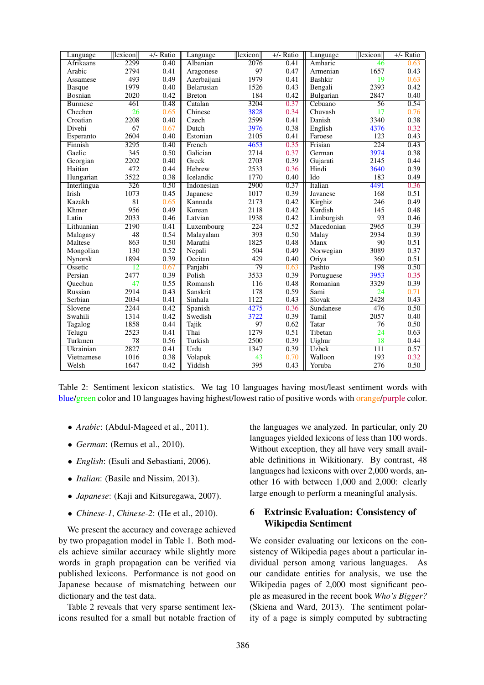| Language           | lexicon | $+/-$ Ratio | Language      | $\ $ lexicon $\ $ | $+/-$ Ratio | Language     | $\ $ lexicon $\ $ | $+/-$ Ratio |
|--------------------|---------|-------------|---------------|-------------------|-------------|--------------|-------------------|-------------|
| <b>Afrikaans</b>   | 2299    | 0.40        | Albanian      | 2076              | 0.41        | Amharic      | 46                | 0.63        |
| Arabic             | 2794    | 0.41        | Aragonese     | 97                | 0.47        | Armenian     | 1657              | 0.43        |
| Assamese           | 493     | 0.49        | Azerbaijani   | 1979              | 0.41        | Bashkir      | 19                | 0.63        |
| <b>Basque</b>      | 1979    | 0.40        | Belarusian    | 1526              | 0.43        | Bengali      | 2393              | 0.42        |
| Bosnian            | 2020    | 0.42        | <b>Breton</b> | 184               | 0.42        | Bulgarian    | 2847              | 0.40        |
| <b>Burmese</b>     | 461     | 0.48        | Catalan       | 3204              | 0.37        | Cebuano      | 56                | 0.54        |
| Chechen            | 26      | 0.65        | Chinese       | 3828              | 0.34        | Chuvash      | 17                | 0.76        |
| Croatian           | 2208    | 0.40        | Czech         | 2599              | 0.41        | Danish       | 3340              | 0.38        |
| Divehi             | 67      | 0.67        | Dutch         | 3976              | 0.38        | English      | 4376              | 0.32        |
| Esperanto          | 2604    | 0.40        | Estonian      | 2105              | 0.41        | Faroese      | 123               | 0.43        |
| Finnish            | 3295    | 0.40        | French        | 4653              | 0.35        | Frisian      | 224               | 0.43        |
| Gaelic             | 345     | 0.50        | Galician      | 2714              | 0.37        | German       | 3974              | 0.38        |
| Georgian           | 2202    | 0.40        | Greek         | 2703              | 0.39        | Gujarati     | 2145              | 0.44        |
| Haitian            | 472     | 0.44        | Hebrew        | 2533              | 0.36        | Hindi        | 3640              | 0.39        |
| Hungarian          | 3522    | 0.38        | Icelandic     | 1770              | 0.40        | Ido          | 183               | 0.49        |
| <b>Interlingua</b> | 326     | 0.50        | Indonesian    | 2900              | 0.37        | Italian      | 4491              | 0.36        |
| Irish              | 1073    | 0.45        | Japanese      | 1017              | 0.39        | Javanese     | 168               | 0.51        |
| Kazakh             | 81      | 0.65        | Kannada       | 2173              | 0.42        | Kirghiz      | 246               | 0.49        |
| Khmer              | 956     | 0.49        | Korean        | 2118              | 0.42        | Kurdish      | 145               | 0.48        |
| Latin              | 2033    | 0.46        | Latvian       | 1938              | 0.42        | Limburgish   | 93                | 0.46        |
| Lithuanian         | 2190    | 0.41        | Luxembourg    | 224               | 0.52        | Macedonian   | 2965              | 0.39        |
| Malagasy           | 48      | 0.54        | Malayalam     | 393               | 0.50        | Malay        | 2934              | 0.39        |
| Maltese            | 863     | 0.50        | Marathi       | 1825              | 0.48        | Manx         | 90                | 0.51        |
| Mongolian          | 130     | 0.52        | Nepali        | 504               | 0.49        | Norwegian    | 3089              | 0.37        |
| Nynorsk            | 1894    | 0.39        | Occitan       | 429               | 0.40        | Oriya        | 360               | 0.51        |
| Ossetic            | 12      | 0.67        | Panjabi       | 79                | 0.63        | Pashto       | 198               | 0.50        |
| Persian            | 2477    | 0.39        | Polish        | 3533              | 0.39        | Portuguese   | 3953              | 0.35        |
| Ouechua            | 47      | 0.55        | Romansh       | 116               | 0.48        | Romanian     | 3329              | 0.39        |
| Russian            | 2914    | 0.43        | Sanskrit      | 178               | 0.59        | Sami         | 24                | 0.71        |
| Serbian            | 2034    | 0.41        | Sinhala       | 1122              | 0.43        | Slovak       | 2428              | 0.43        |
| Slovene            | 2244    | 0.42        | Spanish       | 4275              | 0.36        | Sundanese    | 476               | 0.50        |
| Swahili            | 1314    | 0.42        | Swedish       | 3722              | 0.39        | Tamil        | 2057              | 0.40        |
| Tagalog            | 1858    | 0.44        | Tajik         | 97                | 0.62        | Tatar        | 76                | 0.50        |
| Telugu             | 2523    | 0.41        | Thai          | 1279              | 0.51        | Tibetan      | 24                | 0.63        |
| Turkmen            | 78      | 0.56        | Turkish       | 2500              | 0.39        | Uighur       | 18                | 0.44        |
| Ukrainian          | 2827    | 0.41        | Urdu          | 1347              | 0.39        | <b>Uzbek</b> | $\overline{111}$  | 0.57        |
| Vietnamese         | 1016    | 0.38        | Volapuk       | 43                | 0.70        | Walloon      | 193               | 0.32        |
| Welsh              | 1647    | 0.42        | Yiddish       | 395               | 0.43        | Yoruba       | 276               | 0.50        |

Table 2: Sentiment lexicon statistics. We tag 10 languages having most/least sentiment words with blue/green color and 10 languages having highest/lowest ratio of positive words with orange/purple color.

- *Arabic*: (Abdul-Mageed et al., 2011).
- *German*: (Remus et al., 2010).
- *English*: (Esuli and Sebastiani, 2006).
- *Italian*: (Basile and Nissim, 2013).
- *Japanese*: (Kaji and Kitsuregawa, 2007).
- *Chinese-1*, *Chinese-2*: (He et al., 2010).

We present the accuracy and coverage achieved by two propagation model in Table 1. Both models achieve similar accuracy while slightly more words in graph propagation can be verified via published lexicons. Performance is not good on Japanese because of mismatching between our dictionary and the test data.

Table 2 reveals that very sparse sentiment lexicons resulted for a small but notable fraction of the languages we analyzed. In particular, only 20 languages yielded lexicons of less than 100 words. Without exception, they all have very small available definitions in Wikitionary. By contrast, 48 languages had lexicons with over 2,000 words, another 16 with between 1,000 and 2,000: clearly large enough to perform a meaningful analysis.

## 6 Extrinsic Evaluation: Consistency of Wikipedia Sentiment

We consider evaluating our lexicons on the consistency of Wikipedia pages about a particular individual person among various languages. As our candidate entities for analysis, we use the Wikipedia pages of 2,000 most significant people as measured in the recent book *Who's Bigger?* (Skiena and Ward, 2013). The sentiment polarity of a page is simply computed by subtracting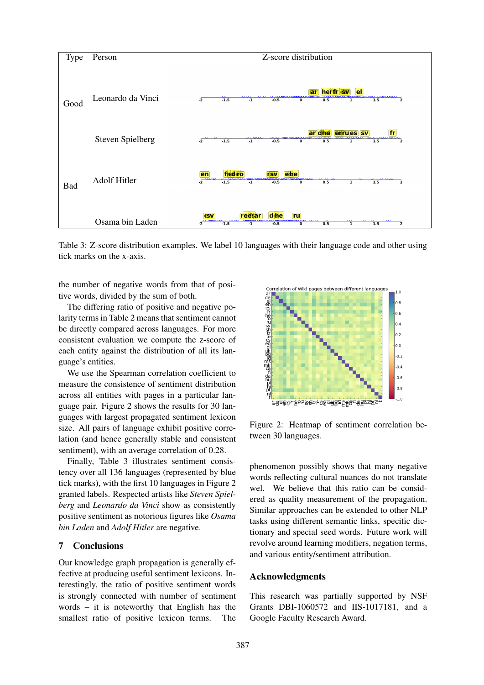

Table 3: Z-score distribution examples. We label 10 languages with their language code and other using tick marks on the x-axis.

the number of negative words from that of positive words, divided by the sum of both.

The differing ratio of positive and negative polarity terms in Table 2 means that sentiment cannot be directly compared across languages. For more consistent evaluation we compute the z-score of each entity against the distribution of all its language's entities.

We use the Spearman correlation coefficient to measure the consistence of sentiment distribution across all entities with pages in a particular language pair. Figure 2 shows the results for 30 languages with largest propagated sentiment lexicon size. All pairs of language exhibit positive correlation (and hence generally stable and consistent sentiment), with an average correlation of 0.28.

Finally, Table 3 illustrates sentiment consistency over all 136 languages (represented by blue tick marks), with the first 10 languages in Figure 2 granted labels. Respected artists like *Steven Spielberg* and *Leonardo da Vinci* show as consistently positive sentiment as notorious figures like *Osama bin Laden* and *Adolf Hitler* are negative.

#### 7 Conclusions

Our knowledge graph propagation is generally effective at producing useful sentiment lexicons. Interestingly, the ratio of positive sentiment words is strongly connected with number of sentiment words – it is noteworthy that English has the smallest ratio of positive lexicon terms. The



Figure 2: Heatmap of sentiment correlation between 30 languages.

phenomenon possibly shows that many negative words reflecting cultural nuances do not translate wel. We believe that this ratio can be considered as quality measurement of the propagation. Similar approaches can be extended to other NLP tasks using different semantic links, specific dictionary and special seed words. Future work will revolve around learning modifiers, negation terms, and various entity/sentiment attribution.

### Acknowledgments

This research was partially supported by NSF Grants DBI-1060572 and IIS-1017181, and a Google Faculty Research Award.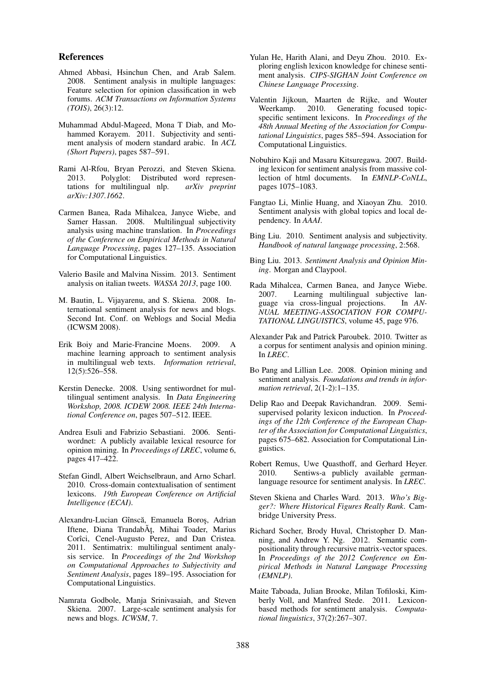#### References

- Ahmed Abbasi, Hsinchun Chen, and Arab Salem. 2008. Sentiment analysis in multiple languages: Feature selection for opinion classification in web forums. *ACM Transactions on Information Systems (TOIS)*, 26(3):12.
- Muhammad Abdul-Mageed, Mona T Diab, and Mohammed Korayem. 2011. Subjectivity and sentiment analysis of modern standard arabic. In *ACL (Short Papers)*, pages 587–591.
- Rami Al-Rfou, Bryan Perozzi, and Steven Skiena. 2013. Polyglot: Distributed word representations for multilingual nlp. *arXiv preprint arXiv:1307.1662*.
- Carmen Banea, Rada Mihalcea, Janyce Wiebe, and Samer Hassan. 2008. Multilingual subjectivity analysis using machine translation. In *Proceedings of the Conference on Empirical Methods in Natural Language Processing*, pages 127–135. Association for Computational Linguistics.
- Valerio Basile and Malvina Nissim. 2013. Sentiment analysis on italian tweets. *WASSA 2013*, page 100.
- M. Bautin, L. Vijayarenu, and S. Skiena. 2008. International sentiment analysis for news and blogs. Second Int. Conf. on Weblogs and Social Media (ICWSM 2008).
- Erik Boiy and Marie-Francine Moens. 2009. A machine learning approach to sentiment analysis in multilingual web texts. *Information retrieval*, 12(5):526–558.
- Kerstin Denecke. 2008. Using sentiwordnet for multilingual sentiment analysis. In *Data Engineering Workshop, 2008. ICDEW 2008. IEEE 24th International Conference on*, pages 507–512. IEEE.
- Andrea Esuli and Fabrizio Sebastiani. 2006. Sentiwordnet: A publicly available lexical resource for opinion mining. In *Proceedings of LREC*, volume 6, pages 417–422.
- Stefan Gindl, Albert Weichselbraun, and Arno Scharl. 2010. Cross-domain contextualisation of sentiment lexicons. *19th European Conference on Artificial Intelligence (ECAI)*.
- Alexandru-Lucian Gînscă, Emanuela Boroș, Adrian Iftene, Diana TrandabĂț, Mihai Toader, Marius Corîci, Cenel-Augusto Perez, and Dan Cristea. 2011. Sentimatrix: multilingual sentiment analysis service. In *Proceedings of the 2nd Workshop on Computational Approaches to Subjectivity and Sentiment Analysis*, pages 189–195. Association for Computational Linguistics.
- Namrata Godbole, Manja Srinivasaiah, and Steven Skiena. 2007. Large-scale sentiment analysis for news and blogs. *ICWSM*, 7.
- Yulan He, Harith Alani, and Deyu Zhou. 2010. Exploring english lexicon knowledge for chinese sentiment analysis. *CIPS-SIGHAN Joint Conference on Chinese Language Processing*.
- Valentin Jijkoun, Maarten de Rijke, and Wouter Weerkamp. 2010. Generating focused topicspecific sentiment lexicons. In *Proceedings of the 48th Annual Meeting of the Association for Computational Linguistics*, pages 585–594. Association for Computational Linguistics.
- Nobuhiro Kaji and Masaru Kitsuregawa. 2007. Building lexicon for sentiment analysis from massive collection of html documents. In *EMNLP-CoNLL*, pages 1075–1083.
- Fangtao Li, Minlie Huang, and Xiaoyan Zhu. 2010. Sentiment analysis with global topics and local dependency. In *AAAI*.
- Bing Liu. 2010. Sentiment analysis and subjectivity. *Handbook of natural language processing*, 2:568.
- Bing Liu. 2013. *Sentiment Analysis and Opinion Mining*. Morgan and Claypool.
- Rada Mihalcea, Carmen Banea, and Janyce Wiebe. 2007. Learning multilingual subjective language via cross-lingual projections. In *AN-NUAL MEETING-ASSOCIATION FOR COMPU-TATIONAL LINGUISTICS*, volume 45, page 976.
- Alexander Pak and Patrick Paroubek. 2010. Twitter as a corpus for sentiment analysis and opinion mining. In *LREC*.
- Bo Pang and Lillian Lee. 2008. Opinion mining and sentiment analysis. *Foundations and trends in information retrieval*, 2(1-2):1–135.
- Delip Rao and Deepak Ravichandran. 2009. Semisupervised polarity lexicon induction. In *Proceedings of the 12th Conference of the European Chapter of the Association for Computational Linguistics*, pages 675–682. Association for Computational Linguistics.
- Robert Remus, Uwe Quasthoff, and Gerhard Heyer. 2010. Sentiws-a publicly available germanlanguage resource for sentiment analysis. In *LREC*.
- Steven Skiena and Charles Ward. 2013. *Who's Bigger?: Where Historical Figures Really Rank*. Cambridge University Press.
- Richard Socher, Brody Huval, Christopher D. Manning, and Andrew Y. Ng. 2012. Semantic compositionality through recursive matrix-vector spaces. In *Proceedings of the 2012 Conference on Empirical Methods in Natural Language Processing (EMNLP)*.
- Maite Taboada, Julian Brooke, Milan Tofiloski, Kimberly Voll, and Manfred Stede. 2011. Lexiconbased methods for sentiment analysis. *Computational linguistics*, 37(2):267–307.